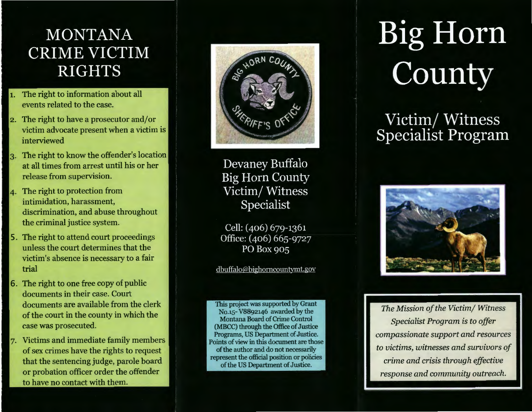## **MONTANA CRIME VICTIM RIGHTS**

- The right to information about all events related to the case.
- 2. The right to have a prosecutor and/or victim advocate present when a victim is interviewed
- The right to know the offender's location at all times from arrest until his or her release from supervision.
- The right to protection from intimidation, harassment, discrimination, and abuse throughout the criminal justice system.
- The right to attend court proceedings unless the court determines that the victim's absence is necessary to a fair trial
- The right to one free copy of public documents in their case. Court documents are available from the clerk of the court in the county in which the case was prosecuted.
- Victims and immediate family members of sex crimes have the rights to request that the sentencing judge, parole board or probation officer order the offender to have no contact with them.



Devaney Buffalo **Big Horn County** Victim/Witness Specialist

Cell: (406) 679-1361 Office: (406) 665-9727 PO Box 905

#### dbuffalo@bighorncountymt.gov

This project was supported by Grant No.15- V8892146 awarded by the Montana Board of Crime Control (MBCC) through the Office of Justice Programs, US Department of Justice. Points of view in this document are those of the author and do not necessarily represent the official position or policies of the US Department of Justice.

# **Big Horn** County

## Victim/Witness<br>Specialist Program



*The Mission of the Victim/ Witness Specialist Program* is *to offer compassionate support and resources to victims, witnesses and survivors of crime and crisis through effective response and community outreach.*